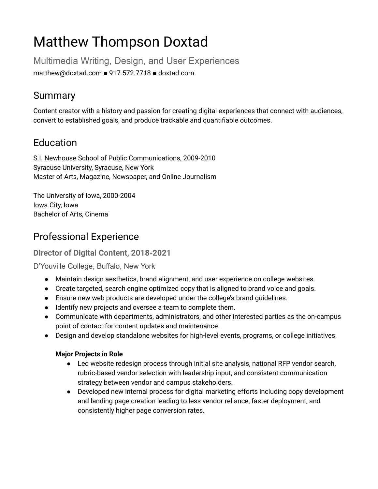# Matthew Thompson Doxtad

Multimedia Writing, Design, and User Experiences matthew@doxtad.com ■ 917.572.7718 ■ doxtad.com

# Summary

Content creator with a history and passion for creating digital experiences that connect with audiences, convert to established goals, and produce trackable and quantifiable outcomes.

# Education

S.I. Newhouse School of Public Communications, 2009-2010 Syracuse University, Syracuse, New York Master of Arts, Magazine, Newspaper, and Online Journalism

The University of Iowa, 2000-2004 Iowa City, Iowa Bachelor of Arts, Cinema

# Professional Experience

## **Director of Digital Content, 2018-2021**

D'Youville College, Buffalo, New York

- Maintain design aesthetics, brand alignment, and user experience on college websites.
- Create targeted, search engine optimized copy that is aligned to brand voice and goals.
- Ensure new web products are developed under the college's brand guidelines.
- Identify new projects and oversee a team to complete them.
- Communicate with departments, administrators, and other interested parties as the on-campus point of contact for content updates and maintenance.
- Design and develop standalone websites for high-level events, programs, or college initiatives.

## **Major Projects in Role**

- Led website redesign process through initial site analysis, national RFP vendor search, rubric-based vendor selection with leadership input, and consistent communication strategy between vendor and campus stakeholders.
- Developed new internal process for digital marketing efforts including copy development and landing page creation leading to less vendor reliance, faster deployment, and consistently higher page conversion rates.